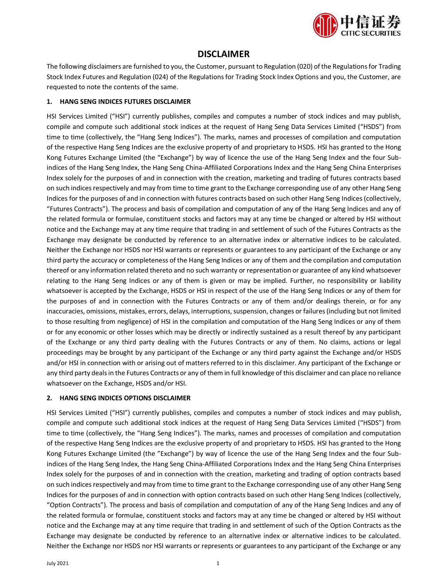

## **DISCLAIMER**

The following disclaimers are furnished to you, the Customer, pursuant to Regulation (020) of the Regulations for Trading Stock Index Futures and Regulation (024) of the Regulations for Trading Stock Index Options and you, the Customer, are requested to note the contents of the same.

### **1. HANG SENG INDICES FUTURES DISCLAIMER**

HSI Services Limited ("HSI") currently publishes, compiles and computes a number of stock indices and may publish, compile and compute such additional stock indices at the request of Hang Seng Data Services Limited ("HSDS") from time to time (collectively, the "Hang Seng Indices"). The marks, names and processes of compilation and computation of the respective Hang Seng Indices are the exclusive property of and proprietary to HSDS. HSI has granted to the Hong Kong Futures Exchange Limited (the "Exchange") by way of licence the use of the Hang Seng Index and the four Subindices of the Hang Seng Index, the Hang Seng China-Affiliated Corporations Index and the Hang Seng China Enterprises Index solely for the purposes of and in connection with the creation, marketing and trading of futures contracts based on such indices respectively and may from time to time grant to the Exchange corresponding use of any other Hang Seng Indices for the purposes of and in connection with futures contracts based on such other Hang Seng Indices (collectively, "Futures Contracts"). The process and basis of compilation and computation of any of the Hang Seng Indices and any of the related formula or formulae, constituent stocks and factors may at any time be changed or altered by HSI without notice and the Exchange may at any time require that trading in and settlement of such of the Futures Contracts as the Exchange may designate be conducted by reference to an alternative index or alternative indices to be calculated. Neither the Exchange nor HSDS nor HSI warrants or represents or guarantees to any participant of the Exchange or any third party the accuracy or completeness of the Hang Seng Indices or any of them and the compilation and computation thereof or any information related thereto and no such warranty or representation or guarantee of any kind whatsoever relating to the Hang Seng Indices or any of them is given or may be implied. Further, no responsibility or liability whatsoever is accepted by the Exchange, HSDS or HSI in respect of the use of the Hang Seng Indices or any of them for the purposes of and in connection with the Futures Contracts or any of them and/or dealings therein, or for any inaccuracies, omissions, mistakes, errors, delays, interruptions, suspension, changes or failures (including but not limited to those resulting from negligence) of HSI in the compilation and computation of the Hang Seng Indices or any of them or for any economic or other losses which may be directly or indirectly sustained as a result thereof by any participant of the Exchange or any third party dealing with the Futures Contracts or any of them. No claims, actions or legal proceedings may be brought by any participant of the Exchange or any third party against the Exchange and/or HSDS and/or HSI in connection with or arising out of matters referred to in this disclaimer. Any participant of the Exchange or any third party deals in the Futures Contracts or any of them in full knowledge of this disclaimer and can place no reliance whatsoever on the Exchange, HSDS and/or HSI.

### **2. HANG SENG INDICES OPTIONS DISCLAIMER**

HSI Services Limited ("HSI") currently publishes, compiles and computes a number of stock indices and may publish, compile and compute such additional stock indices at the request of Hang Seng Data Services Limited ("HSDS") from time to time (collectively, the "Hang Seng Indices"). The marks, names and processes of compilation and computation of the respective Hang Seng Indices are the exclusive property of and proprietary to HSDS. HSI has granted to the Hong Kong Futures Exchange Limited (the "Exchange") by way of licence the use of the Hang Seng Index and the four Subindices of the Hang Seng Index, the Hang Seng China-Affiliated Corporations Index and the Hang Seng China Enterprises Index solely for the purposes of and in connection with the creation, marketing and trading of option contracts based on such indices respectively and may from time to time grant to the Exchange corresponding use of any other Hang Seng Indices for the purposes of and in connection with option contracts based on such other Hang Seng Indices (collectively, "Option Contracts"). The process and basis of compilation and computation of any of the Hang Seng Indices and any of the related formula or formulae, constituent stocks and factors may at any time be changed or altered by HSI without notice and the Exchange may at any time require that trading in and settlement of such of the Option Contracts as the Exchange may designate be conducted by reference to an alternative index or alternative indices to be calculated. Neither the Exchange nor HSDS nor HSI warrants or represents or guarantees to any participant of the Exchange or any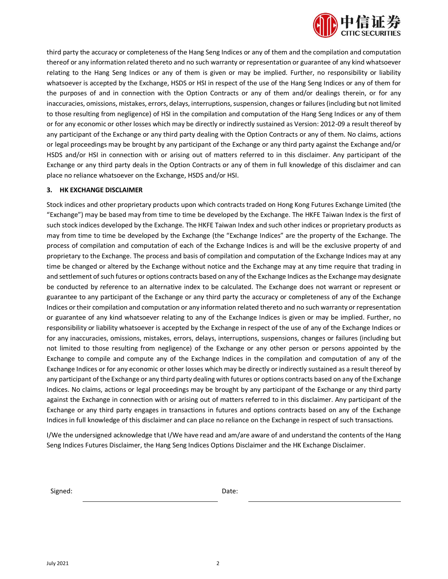

third party the accuracy or completeness of the Hang Seng Indices or any of them and the compilation and computation thereof or any information related thereto and no such warranty or representation or guarantee of any kind whatsoever relating to the Hang Seng Indices or any of them is given or may be implied. Further, no responsibility or liability whatsoever is accepted by the Exchange, HSDS or HSI in respect of the use of the Hang Seng Indices or any of them for the purposes of and in connection with the Option Contracts or any of them and/or dealings therein, or for any inaccuracies, omissions, mistakes, errors, delays, interruptions, suspension, changes or failures (including but not limited to those resulting from negligence) of HSI in the compilation and computation of the Hang Seng Indices or any of them or for any economic or other losses which may be directly or indirectly sustained as Version: 2012-09 a result thereof by any participant of the Exchange or any third party dealing with the Option Contracts or any of them. No claims, actions or legal proceedings may be brought by any participant of the Exchange or any third party against the Exchange and/or HSDS and/or HSI in connection with or arising out of matters referred to in this disclaimer. Any participant of the Exchange or any third party deals in the Option Contracts or any of them in full knowledge of this disclaimer and can place no reliance whatsoever on the Exchange, HSDS and/or HSI.

#### **3. HK EXCHANGE DISCLAIMER**

Stock indices and other proprietary products upon which contracts traded on Hong Kong Futures Exchange Limited (the "Exchange") may be based may from time to time be developed by the Exchange. The HKFE Taiwan Index is the first of such stock indices developed by the Exchange. The HKFE Taiwan Index and such other indices or proprietary products as may from time to time be developed by the Exchange (the "Exchange Indices" are the property of the Exchange. The process of compilation and computation of each of the Exchange Indices is and will be the exclusive property of and proprietary to the Exchange. The process and basis of compilation and computation of the Exchange Indices may at any time be changed or altered by the Exchange without notice and the Exchange may at any time require that trading in and settlement of such futures or options contracts based on any of the Exchange Indices as the Exchange may designate be conducted by reference to an alternative index to be calculated. The Exchange does not warrant or represent or guarantee to any participant of the Exchange or any third party the accuracy or completeness of any of the Exchange Indices or their compilation and computation or any information related thereto and no such warranty or representation or guarantee of any kind whatsoever relating to any of the Exchange Indices is given or may be implied. Further, no responsibility or liability whatsoever is accepted by the Exchange in respect of the use of any of the Exchange Indices or for any inaccuracies, omissions, mistakes, errors, delays, interruptions, suspensions, changes or failures (including but not limited to those resulting from negligence) of the Exchange or any other person or persons appointed by the Exchange to compile and compute any of the Exchange Indices in the compilation and computation of any of the Exchange Indices or for any economic or other losses which may be directly or indirectly sustained as a result thereof by any participant of the Exchange or any third party dealing with futures or options contracts based on any of the Exchange Indices. No claims, actions or legal proceedings may be brought by any participant of the Exchange or any third party against the Exchange in connection with or arising out of matters referred to in this disclaimer. Any participant of the Exchange or any third party engages in transactions in futures and options contracts based on any of the Exchange Indices in full knowledge of this disclaimer and can place no reliance on the Exchange in respect of such transactions.

I/We the undersigned acknowledge that I/We have read and am/are aware of and understand the contents of the Hang Seng Indices Futures Disclaimer, the Hang Seng Indices Options Disclaimer and the HK Exchange Disclaimer.

Signed: **Date:** Date: **Date:** Date: **Date:** Partnerships and Date: **Date:** Partnerships and Date: **Date:**  $\theta$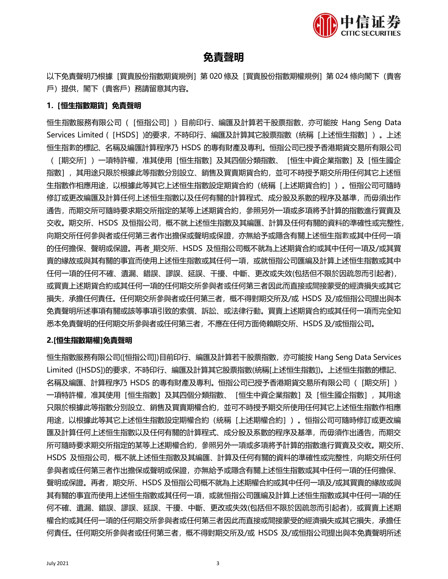

# **免責聲明**

以下免責聲明乃根據 [買賣股份指數期貨規例] 第 020 條及 [買賣股份指數期權規例] 第 024 條向閣下 (貴客 戶)提供,閣下(貴客戶)務請留意其內容。

### **1.[恒生指數期貨]免責聲明**

恒生指數服務有限公司([恒指公司])目前印行、編匯及計算若干股票指數,亦可能按 Hang Seng Data Services Limited ([HSDS])的要求, 不時印行、編匯及計算其它股票指數 (統稱 [上述恒生指數])。上述 恒生指數的標記、名稱及編匯計算程序乃 HSDS 的專有財產及專利。恒指公司已授予香港期貨交易所有限公司 (「期交所」)一項特許權,准其使用「恒生指數]及其四個分類指數、「恒生中資企業指數]及「恒生國企 指數],其用途只限於根據此等指數分別設立、銷售及買賣期貨合約,並可不時授予期交所用任何其它上述恒 生指數作相應用途,以根據此等其它上述恒生指數設定期貨合約(統稱[上述期貨合約])。恒指公司可隨時 修訂或更改編匯及計算任何上述恒生指數以及任何有關的計算程式、成分股及系數的程序及基準,而毋須出作 通告,而期交所可隨時要求期交所指定的某等上述期貨合約,參照另外一項或多項將予計算的指數進行買賣及 交收。期交所、HSDS 及恒指公司,概不就上述恒生指數及其編匯、計算及任何有關的資料的準確性或完整性, 向期交所任何參與者或任何第三者作出擔保或聲明或保證,亦無給予或隱含有關上述恒生指數或其中任何一項 的任何擔保、聲明或保證。再者\_期交所、HSDS 及恒指公司概不就為上述期貨合約或其中任何一項及/或其買 賣的緣故或與其有關的事宜而使用上述恒生指數或其任何一項,或就恒指公司匯編及計算上述恒生指數或其中 任何一項的任何不確、遺漏、錯誤、謬誤、延誤、干擾、中斷、更改或失效(包括但不限於因疏忽而引起者), 或買賣上述期貨合約或其任何一項的任何期交所參與者或任何第三者因此而直接或間接蒙受的經濟損失或其它 損失,承擔任何責任。任何期交所參與者或任何第三者,概不得對期交所及/或 HSDS 及/或恒指公司提出與本 免責聲明所述事項有關或該等事項引致的索償、訴訟、或法律行動。買賣上述期貨合約或其任何一項而完全知 悉本免責聲明的任何期交所參與者或任何第三者,不應在任何方面倚賴期交所、HSDS 及/或恒指公司。

### **2.[恒生指數期權]免責聲明**

恒生指數服務有限公司([恒指公司])目前印行、編匯及計算若干股票指數,亦可能按 Hang Seng Data Services Limited ([HSDS])的要求,不時印行、編匯及計算其它股票指數(統稱[上述恒生指數])。上述恒生指數的標記、 名稱及編匯、計算程序乃 HSDS 的專有財產及專利。恒指公司已授予香港期貨交易所有限公司(「期交所」) 一項特許權,准其使用「恒生指數]及其四個分類指數、「恒生中資企業指數]及「恒生國企指數],其用途 只限於根據此等指數分別設立、銷售及買賣期權合約,並可不時授予期交所使用任何其它上述恒生指數作相應 用途,以根據此等其它上述恒生指數設定期權合約(統稱[上述期權合約])。恒指公司可隨時修訂或更改編 匯及計算任何上述恒生指數以及任何有關的計算程式、成分股及系數的程序及基準,而毋須作出通告,而期交 所可隨時要求期交所指定的某等上述期權合約,參照另外一項或多項將予計算的指數進行買賣及交收。期交所、 HSDS 及恒指公司,概不就上述恒生指數及其編匯、計算及任何有關的資料的準確性或完整性,向期交所任何 參與者或任何第三者作出擔保或聲明或保證,亦無給予或隱含有關上述恒生指數或其中任何一項的任何擔保、 聲明或保證。再者,期交所、HSDS 及恒指公司概不就為上述期權合約或其中任何一項及/或其買賣的緣故或與 其有關的事宜而使用上述恒生指數或其任何一項,或就恒指公司匯編及計算上述恒生指數或其中任何一項的任 何不確、遺漏、錯誤、謬誤、延誤、干擾、中斷、更改或失效(包括但不限於因疏忽而引起者),或買賣上述期 權合約或其任何一項的任何期交所參與者或任何第三者因此而直接或間接蒙受的經濟損失或其它損失,承擔任 何責任。任何期交所參與者或任何第三者,概不得對期交所及/或 HSDS 及/或恒指公司提出與本免責聲明所述